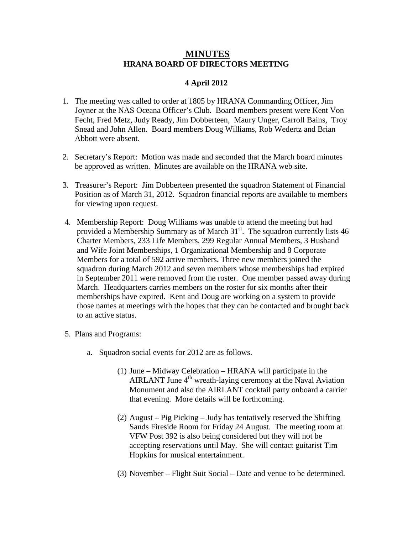## **MINUTES HRANA BOARD OF DIRECTORS MEETING**

## **4 April 2012**

- 1. The meeting was called to order at 1805 by HRANA Commanding Officer, Jim Joyner at the NAS Oceana Officer's Club. Board members present were Kent Von Fecht, Fred Metz, Judy Ready, Jim Dobberteen, Maury Unger, Carroll Bains, Troy Snead and John Allen. Board members Doug Williams, Rob Wedertz and Brian Abbott were absent.
- 2. Secretary's Report: Motion was made and seconded that the March board minutes be approved as written. Minutes are available on the HRANA web site.
- 3. Treasurer's Report: Jim Dobberteen presented the squadron Statement of Financial Position as of March 31, 2012. Squadron financial reports are available to members for viewing upon request.
- 4. Membership Report: Doug Williams was unable to attend the meeting but had provided a Membership Summary as of March  $31<sup>st</sup>$ . The squadron currently lists 46 Charter Members, 233 Life Members, 299 Regular Annual Members, 3 Husband and Wife Joint Memberships, 1 Organizational Membership and 8 Corporate Members for a total of 592 active members. Three new members joined the squadron during March 2012 and seven members whose memberships had expired in September 2011 were removed from the roster. One member passed away during March. Headquarters carries members on the roster for six months after their memberships have expired. Kent and Doug are working on a system to provide those names at meetings with the hopes that they can be contacted and brought back to an active status.
- 5. Plans and Programs:
	- a. Squadron social events for 2012 are as follows.
		- (1) June Midway Celebration HRANA will participate in the AIRLANT June 4<sup>th</sup> wreath-laying ceremony at the Naval Aviation Monument and also the AIRLANT cocktail party onboard a carrier that evening. More details will be forthcoming.
		- (2) August Pig Picking Judy has tentatively reserved the Shifting Sands Fireside Room for Friday 24 August. The meeting room at VFW Post 392 is also being considered but they will not be accepting reservations until May. She will contact guitarist Tim Hopkins for musical entertainment.
		- (3) November Flight Suit Social Date and venue to be determined.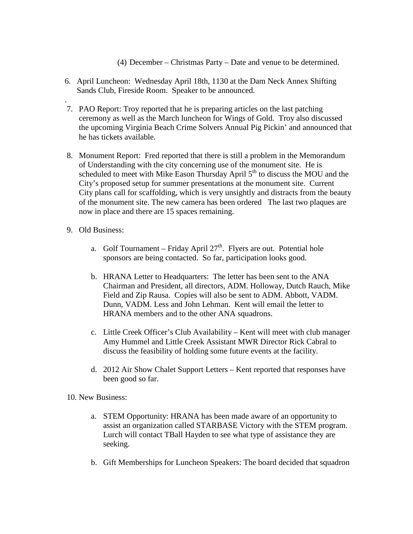(4) December – Christmas Party – Date and venue to be determined.

- 6. April Luncheon: Wednesday April 18th, 1130 at the Dam Neck Annex Shifting Sands Club, Fireside Room. Speaker to be announced.
- . 7. PAO Report: Troy reported that he is preparing articles on the last patching ceremony as well as the March luncheon for Wings of Gold. Troy also discussed the upcoming Virginia Beach Crime Solvers Annual Pig Pickin' and announced that he has tickets available.
- 8. Monument Report: Fred reported that there is still a problem in the Memorandum of Understanding with the city concerning use of the monument site. He is scheduled to meet with Mike Eason Thursday April 5<sup>th</sup> to discuss the MOU and the City's proposed setup for summer presentations at the monument site. Current City plans call for scaffolding, which is very unsightly and distracts from the beauty of the monument site. The new camera has been ordered The last two plaques are now in place and there are 15 spaces remaining.
- 9. Old Business:
	- a. Golf Tournament Friday April  $27<sup>th</sup>$ . Flyers are out. Potential hole sponsors are being contacted. So far, participation looks good.
	- b. HRANA Letter to Headquarters: The letter has been sent to the ANA Chairman and President, all directors, ADM. Holloway, Dutch Rauch, Mike Field and Zip Rausa. Copies will also be sent to ADM. Abbott, VADM. Dunn, VADM. Less and John Lehman. Kent will email the letter to HRANA members and to the other ANA squadrons.
	- c. Little Creek Officer's Club Availability Kent will meet with club manager Amy Hummel and Little Creek Assistant MWR Director Rick Cabral to discuss the feasibility of holding some future events at the facility.
	- d. 2012 Air Show Chalet Support Letters Kent reported that responses have been good so far.

10. New Business:

- a. STEM Opportunity: HRANA has been made aware of an opportunity to assist an organization called STARBASE Victory with the STEM program. Lurch will contact TBall Hayden to see what type of assistance they are seeking.
- b. Gift Memberships for Luncheon Speakers: The board decided that squadron